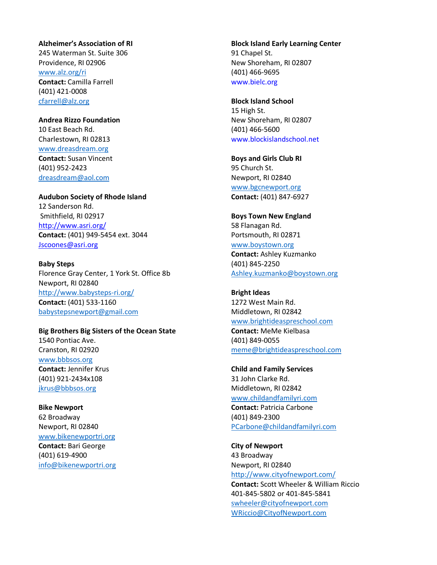#### **Alzheimer's Association of RI**

245 Waterman St. Suite 306 Providence, RI 02906 www.alz.org/ri **Contact:** Camilla Farrell (401) 421-0008 cfarrell@alz.org

**Andrea Rizzo Foundation** 10 East Beach Rd. Charlestown, RI 02813 www.dreasdream.org **Contact:** Susan Vincent (401) 952-2423 dreasdream@aol.com

**Audubon Society of Rhode Island** 12 Sanderson Rd. Smithfield, RI 02917 http://www.asri.org/ **Contact:** (401) 949-5454 ext. 3044 Jscoones@asri.org

**Baby Steps** Florence Gray Center, 1 York St. Office 8b Newport, RI 02840 http://www.babysteps-ri.org/ **Contact:** (401) 533-1160 babystepsnewport@gmail.com

**Big Brothers Big Sisters of the Ocean State** 1540 Pontiac Ave. Cranston, RI 02920 www.bbbsos.org **Contact:** Jennifer Krus (401) 921-2434x108 jkrus@bbbsos.org

**Bike Newport** 62 Broadway Newport, RI 02840 www.bikenewportri.org **Contact:** Bari George (401) 619-4900 info@bikenewportri.org **Block Island Early Learning Center** 91 Chapel St. New Shoreham, RI 02807 (401) 466-9695 www.bielc.org

**Block Island School** 15 High St. New Shoreham, RI 02807 (401) 466-5600 www.blockislandschool.net

**Boys and Girls Club RI** 95 Church St. Newport, RI 02840 www.bgcnewport.org **Contact:** (401) 847-6927

**Boys Town New England** 58 Flanagan Rd. Portsmouth, RI 02871 www.boystown.org **Contact:** Ashley Kuzmanko (401) 845-2250 Ashley.kuzmanko@boystown.org

**Bright Ideas** 1272 West Main Rd. Middletown, RI 02842 www.brightideaspreschool.com

**Contact:** MeMe Kielbasa (401) 849-0055 meme@brightideaspreschool.com

**Child and Family Services** 31 John Clarke Rd. Middletown, RI 02842 www.childandfamilyri.com **Contact:** Patricia Carbone (401) 849-2300 PCarbone@childandfamilyri.com

**City of Newport**  43 Broadway Newport, RI 02840 http://www.cityofnewport.com/ **Contact:** Scott Wheeler & William Riccio 401-845-5802 or 401-845-5841 swheeler@cityofnewport.com WRiccio@CityofNewport.com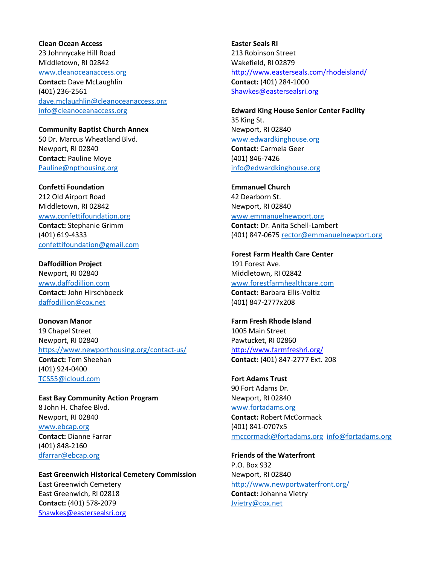# **Clean Ocean Access** 23 Johnnycake Hill Road Middletown, RI 02842 www.cleanoceanaccess.org **Contact:** Dave McLaughlin (401) 236-2561 dave.mclaughlin@cleanoceanaccess.org info@cleanoceanaccess.org

**Community Baptist Church Annex** 50 Dr. Marcus Wheatland Blvd. Newport, RI 02840 **Contact:** Pauline Moye Pauline@npthousing.org

**Confetti Foundation** 212 Old Airport Road Middletown, RI 02842 www.confettifoundation.org **Contact:** Stephanie Grimm (401) 619-4333 confettifoundation@gmail.com

**Daffodillion Project** Newport, RI 02840 www.daffodillion.com **Contact:** John Hirschboeck daffodillion@cox.net

**Donovan Manor** 19 Chapel Street Newport, RI 02840 https://www.newporthousing.org/contact-us/ **Contact:** Tom Sheehan (401) 924-0400 TCS55@icloud.com

**East Bay Community Action Program** 8 John H. Chafee Blvd. Newport, RI 02840 www.ebcap.org **Contact:** Dianne Farrar (401) 848-2160 dfarrar@ebcap.org

**East Greenwich Historical Cemetery Commission**  East Greenwich Cemetery East Greenwich, RI 02818 **Contact:** (401) 578-2079 Shawkes@eastersealsri.org

**Easter Seals RI** 213 Robinson Street Wakefield, RI 02879 http://www.easterseals.com/rhodeisland/ **Contact:** (401) 284-1000 Shawkes@eastersealsri.org

**Edward King House Senior Center Facility** 35 King St. Newport, RI 02840 www.edwardkinghouse.org **Contact:** Carmela Geer (401) 846-7426 info@edwardkinghouse.org

**Emmanuel Church** 42 Dearborn St. Newport, RI 02840 www.emmanuelnewport.org **Contact:** Dr. Anita Schell-Lambert (401) 847-0675 rector@emmanuelnewport.org

# **Forest Farm Health Care Center** 191 Forest Ave. Middletown, RI 02842 www.forestfarmhealthcare.com

**Contact:** Barbara Ellis-Voltiz (401) 847-2777x208

**Farm Fresh Rhode Island**  1005 Main Street Pawtucket, RI 02860 http://www.farmfreshri.org/ **Contact:** (401) 847-2777 Ext. 208

**Fort Adams Trust** 90 Fort Adams Dr. Newport, RI 02840 www.fortadams.org **Contact:** Robert McCormack (401) 841-0707x5 rmccormack@fortadams.org info@fortadams.org

**Friends of the Waterfront** P.O. Box 932 Newport, RI 02840 http://www.newportwaterfront.org/ **Contact:** Johanna Vietry Jvietry@cox.net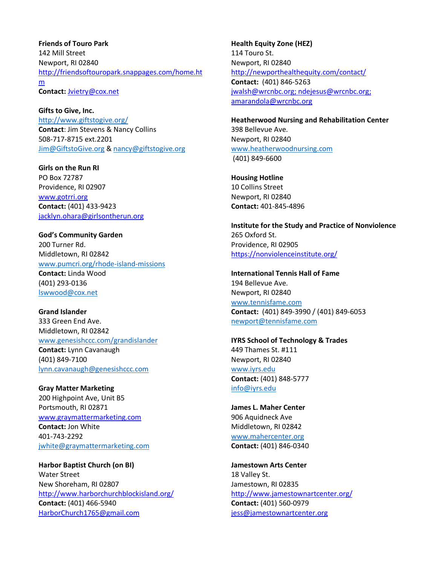**Friends of Touro Park**  142 Mill Street Newport, RI 02840 http://friendsoftouropark.snappages.com/home.ht m **Contact:** Jvietry@cox.net

**Gifts to Give, Inc.** http://www.giftstogive.org/ **Contact**: Jim Stevens & Nancy Collins 508-717-8715 ext.2201 Jim@GiftstoGive.org & nancy@giftstogive.org

**Girls on the Run RI**  PO Box 72787 Providence, RI 02907 www.gotrri.org **Contact:** (401) 433-9423 jacklyn.ohara@girlsontherun.org

**God's Community Garden** 200 Turner Rd. Middletown, RI 02842 www.pumcri.org/rhode-island-missions **Contact:** Linda Wood (401) 293-0136 lswwood@cox.net

**Grand Islander** 333 Green End Ave. Middletown, RI 02842 www.genesishccc.com/grandislander **Contact:** Lynn Cavanaugh (401) 849-7100 lynn.cavanaugh@genesishccc.com

**Gray Matter Marketing**  200 Highpoint Ave, Unit B5 Portsmouth, RI 02871 www.graymattermarketing.com **Contact:** Jon White 401-743-2292 jwhite@graymattermarketing.com

**Harbor Baptist Church (on BI)**  Water Street New Shoreham, RI 02807 http://www.harborchurchblockisland.org/ **Contact:** (401) 466-5940 HarborChurch1765@gmail.com

**Health Equity Zone (HEZ)**  114 Touro St. Newport, RI 02840 http://newporthealthequity.com/contact/ **Contact:** (401) 846-5263 jwalsh@wrcnbc.org; ndejesus@wrcnbc.org; amarandola@wrcnbc.org

**Heatherwood Nursing and Rehabilitation Center** 398 Bellevue Ave. Newport, RI 02840 www.heatherwoodnursing.com (401) 849-6600

**Housing Hotline** 10 Collins Street Newport, RI 02840 **Contact:** 401-845-4896

**Institute for the Study and Practice of Nonviolence** 265 Oxford St. Providence, RI 02905 https://nonviolenceinstitute.org/

**International Tennis Hall of Fame** 194 Bellevue Ave. Newport, RI 02840 www.tennisfame.com **Contact:** (401) 849-3990 / (401) 849-6053 newport@tennisfame.com

**IYRS School of Technology & Trades** 449 Thames St. #111 Newport, RI 02840 www.iyrs.edu **Contact:** (401) 848-5777 info@iyrs.edu

**James L. Maher Center** 906 Aquidneck Ave Middletown, RI 02842 www.mahercenter.org **Contact:** (401) 846-0340

**Jamestown Arts Center**  18 Valley St. Jamestown, RI 02835 http://www.jamestownartcenter.org/ **Contact:** (401) 560-0979 jess@jamestownartcenter.org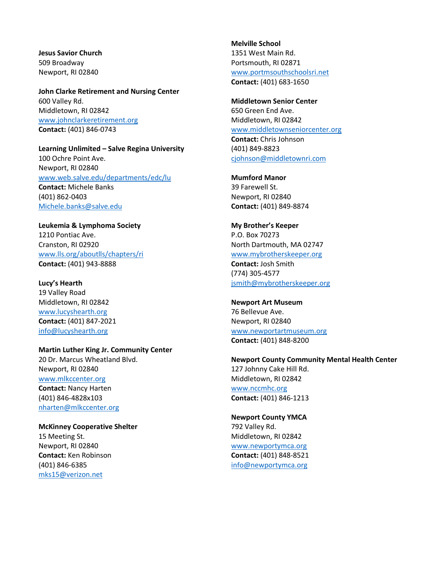**Jesus Savior Church** 509 Broadway Newport, RI 02840

**John Clarke Retirement and Nursing Center** 600 Valley Rd. Middletown, RI 02842 www.johnclarkeretirement.org **Contact:** (401) 846-0743

### **Learning Unlimited – Salve Regina University** 100 Ochre Point Ave. Newport, RI 02840

www.web.salve.edu/departments/edc/lu **Contact:** Michele Banks (401) 862-0403 Michele.banks@salve.edu

**Leukemia & Lymphoma Society** 1210 Pontiac Ave. Cranston, RI 02920 www.lls.org/aboutlls/chapters/ri **Contact:** (401) 943-8888

**Lucy's Hearth** 19 Valley Road Middletown, RI 02842 www.lucyshearth.org **Contact:** (401) 847-2021 info@lucyshearth.org

## **Martin Luther King Jr. Community Center**

20 Dr. Marcus Wheatland Blvd. Newport, RI 02840 www.mlkccenter.org **Contact:** Nancy Harten (401) 846-4828x103 nharten@mlkccenter.org

#### **McKinney Cooperative Shelter**

15 Meeting St. Newport, RI 02840 **Contact:** Ken Robinson (401) 846-6385 mks15@verizon.net

**Melville School** 1351 West Main Rd. Portsmouth, RI 02871 www.portmsouthschoolsri.net **Contact:** (401) 683-1650

**Middletown Senior Center** 650 Green End Ave. Middletown, RI 02842 www.middletownseniorcenter.org **Contact:** Chris Johnson (401) 849-8823 cjohnson@middletownri.com

**Mumford Manor** 39 Farewell St. Newport, RI 02840 **Contact:** (401) 849-8874

**My Brother's Keeper** P.O. Box 70273 North Dartmouth, MA 02747 www.mybrotherskeeper.org **Contact:** Josh Smith (774) 305-4577 jsmith@mybrotherskeeper.org

**Newport Art Museum** 76 Bellevue Ave. Newport, RI 02840 www.newportartmuseum.org **Contact:** (401) 848-8200

### **Newport County Community Mental Health Center** 127 Johnny Cake Hill Rd. Middletown, RI 02842 www.nccmhc.org

**Contact:** (401) 846-1213

#### **Newport County YMCA**

792 Valley Rd. Middletown, RI 02842 www.newportymca.org **Contact:** (401) 848-8521 info@newportymca.org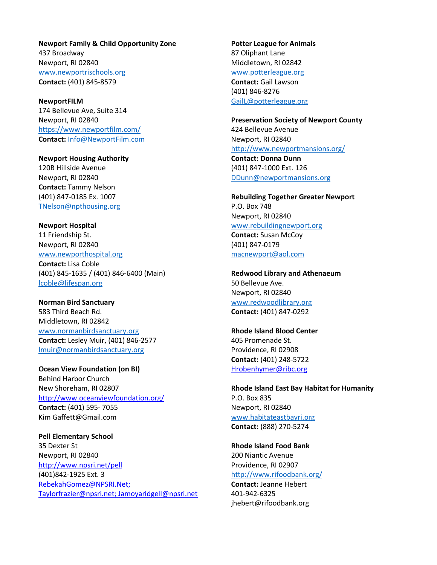**Newport Family & Child Opportunity Zone** 437 Broadway Newport, RI 02840 www.newportrischools.org **Contact:** (401) 845-8579

**NewportFILM** 174 Bellevue Ave, Suite 314 Newport, RI 02840 https://www.newportfilm.com/ **Contact:** Info@NewportFilm.com

**Newport Housing Authority** 120B Hillside Avenue Newport, RI 02840 **Contact:** Tammy Nelson (401) 847-0185 Ex. 1007 TNelson@npthousing.org

**Newport Hospital** 11 Friendship St. Newport, RI 02840 www.newporthospital.org **Contact:** Lisa Coble (401) 845-1635 / (401) 846-6400 (Main) lcoble@lifespan.org

**Norman Bird Sanctuary** 583 Third Beach Rd. Middletown, RI 02842 www.normanbirdsanctuary.org **Contact:** Lesley Muir, (401) 846-2577 lmuir@normanbirdsanctuary.org

**Ocean View Foundation (on BI)**  Behind Harbor Church New Shoreham, RI 02807 http://www.oceanviewfoundation.org/ **Contact:** (401) 595- 7055 Kim Gaffett@Gmail.com

**Pell Elementary School** 35 Dexter St Newport, RI 02840 http://www.npsri.net/pell (401)842-1925 Ext. 3 RebekahGomez@NPSRI.Net; Taylorfrazier@npsri.net; Jamoyaridgell@npsri.net **Potter League for Animals** 87 Oliphant Lane Middletown, RI 02842 www.potterleague.org **Contact:** Gail Lawson (401) 846-8276 GailL@potterleague.org

**Preservation Society of Newport County** 424 Bellevue Avenue Newport, RI 02840 http://www.newportmansions.org/ **Contact: Donna Dunn** (401) 847-1000 Ext. 126 DDunn@newportmansions.org

**Rebuilding Together Greater Newport** P.O. Box 748 Newport, RI 02840 www.rebuildingnewport.org **Contact:** Susan McCoy (401) 847-0179

macnewport@aol.com

**Redwood Library and Athenaeum** 50 Bellevue Ave. Newport, RI 02840 www.redwoodlibrary.org **Contact:** (401) 847-0292

**Rhode Island Blood Center**  405 Promenade St. Providence, RI 02908 **Contact:** (401) 248-5722 Hrobenhymer@ribc.org

**Rhode Island East Bay Habitat for Humanity** P.O. Box 835 Newport, RI 02840 www.habitateastbayri.org **Contact:** (888) 270-5274

**Rhode Island Food Bank** 200 Niantic Avenue Providence, RI 02907 http://www.rifoodbank.org/

**Contact:** Jeanne Hebert 401-942-6325 jhebert@rifoodbank.org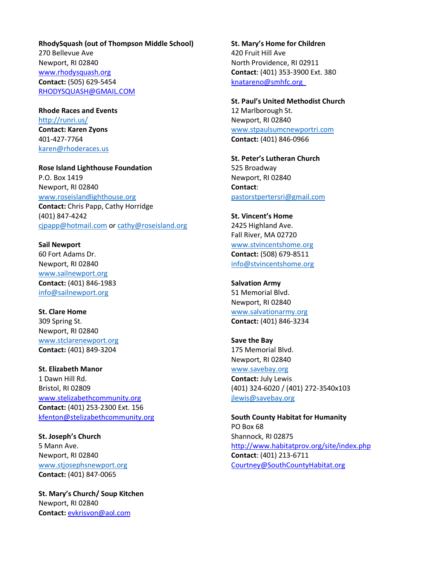**RhodySquash (out of Thompson Middle School)** 270 Bellevue Ave Newport, RI 02840 www.rhodysquash.org **Contact:** (505) 629-5454 RHODYSQUASH@GMAIL.COM

**Rhode Races and Events** http://runri.us/ **Contact: Karen Zyons** 401-427-7764 karen@rhoderaces.us

**Rose Island Lighthouse Foundation** P.O. Box 1419 Newport, RI 02840 www.roseislandlighthouse.org **Contact:** Chris Papp, Cathy Horridge (401) 847-4242 cjpapp@hotmail.com or cathy@roseisland.org

**Sail Newport** 60 Fort Adams Dr. Newport, RI 02840 www.sailnewport.org **Contact:** (401) 846-1983 info@sailnewport.org

**St. Clare Home** 309 Spring St. Newport, RI 02840 www.stclarenewport.org **Contact:** (401) 849-3204

**St. Elizabeth Manor** 1 Dawn Hill Rd. Bristol, RI 02809 www.stelizabethcommunity.org **Contact:** (401) 253-2300 Ext. 156 kfenton@stelizabethcommunity.org

**St. Joseph's Church** 5 Mann Ave. Newport, RI 02840 www.stjosephsnewport.org **Contact:** (401) 847-0065

**St. Mary's Church/ Soup Kitchen** Newport, RI 02840 **Contact:** evkrisvon@aol.com

**St. Mary's Home for Children** 420 Fruit Hill Ave North Providence, RI 02911 **Contact**: (401) 353-3900 Ext. 380 knatareno@smhfc.org

**St. Paul's United Methodist Church** 12 Marlborough St. Newport, RI 02840 www.stpaulsumcnewportri.com **Contact:** (401) 846-0966

**St. Peter's Lutheran Church** 525 Broadway Newport, RI 02840 **Contact**: pastorstpertersri@gmail.com

**St. Vincent's Home** 2425 Highland Ave. Fall River, MA 02720 www.stvincentshome.org **Contact:** (508) 679-8511 info@stvincentshome.org

**Salvation Army** 51 Memorial Blvd. Newport, RI 02840 www.salvationarmy.org **Contact:** (401) 846-3234

**Save the Bay** 175 Memorial Blvd. Newport, RI 02840 www.savebay.org **Contact:** July Lewis (401) 324-6020 / (401) 272-3540x103 jlewis@savebay.org

**South County Habitat for Humanity** PO Box 68 Shannock, RI 02875 http://www.habitatprov.org/site/index.php **Contact**: (401) 213-6711 Courtney@SouthCountyHabitat.org